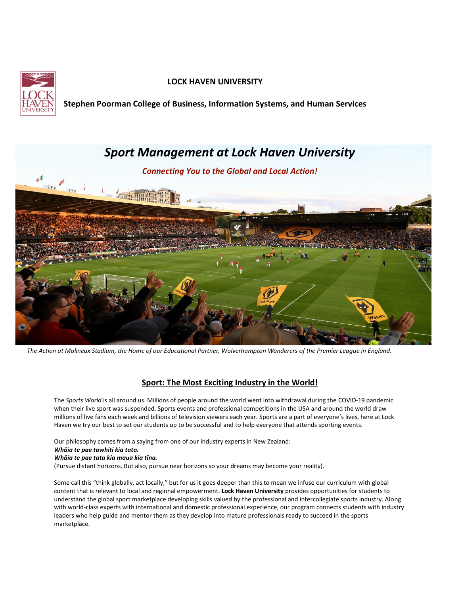

# **LOCK HAVEN UNIVERSITY**

**Stephen Poorman College of Business, Information Systems, and Human Services**



*The Action at Molineux Stadium, the Home of our Educational Partner, Wolverhampton Wanderers of the Premier League in England.*

# **Sport: The Most Exciting Industry in the World!**

The *Sports World* is all around us. Millions of people around the world went into withdrawal during the COVID-19 pandemic when their live sport was suspended. Sports events and professional competitions in the USA and around the world draw millions of live fans each week and billions of television viewers each year. Sports are a part of everyone's lives, here at Lock Haven we try our best to set our students up to be successful and to help everyone that attends sporting events.

Our philosophy comes from a saying from one of our industry experts in New Zealand:

### *Whāia te pae tawhiti kia tata. Whāia te pae tata kia maua kia tīna.*

(Pursue distant horizons. But also, pursue near horizons so your dreams may become your reality).

Some call this "think globally, act locally," but for us it goes deeper than this to mean we infuse our curriculum with global content that is relevant to local and regional empowerment. **Lock Haven University** provides opportunities for students to understand the global sport marketplace developing skills valued by the professional and intercollegiate sports industry. Along with world-class experts with international and domestic professional experience, our program connects students with industry leaders who help guide and mentor them as they develop into mature professionals ready to succeed in the sports marketplace.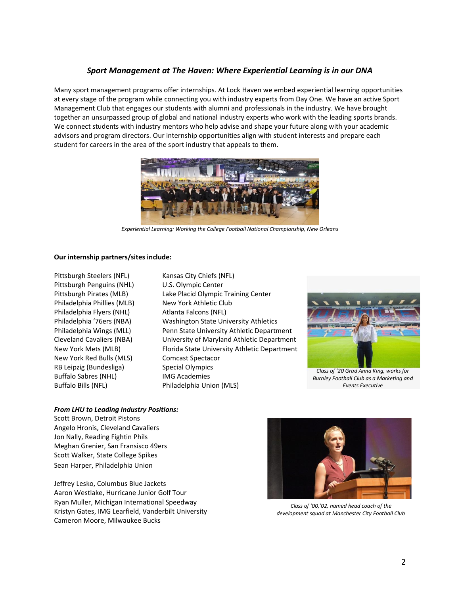# *Sport Management at The Haven: Where Experiential Learning is in our DNA*

Many sport management programs offer internships. At Lock Haven we embed experiential learning opportunities at every stage of the program while connecting you with industry experts from Day One. We have an active Sport Management Club that engages our students with alumni and professionals in the industry. We have brought together an unsurpassed group of global and national industry experts who work with the leading sports brands. We connect students with industry mentors who help advise and shape your future along with your academic advisors and program directors. Our internship opportunities align with student interests and prepare each student for careers in the area of the sport industry that appeals to them.



*Experiential Learning: Working the College Football National Championship, New Orleans*

### **Our internship partners/sites include:**

Pittsburgh Steelers (NFL) Kansas City Chiefs (NFL) Pittsburgh Penguins (NHL) U.S. Olympic Center Philadelphia Phillies (MLB) New York Athletic Club Philadelphia Flyers (NHL) Atlanta Falcons (NFL) New York Red Bulls (MLS) Comcast Spectacor RB Leipzig (Bundesliga) Special Olympics Buffalo Sabres (NHL) IMG Academies Buffalo Bills (NFL) Philadelphia Union (MLS)

Pittsburgh Pirates (MLB) Lake Placid Olympic Training Center Philadelphia '76ers (NBA) Washington State University Athletics Philadelphia Wings (MLL) Penn State University Athletic Department Cleveland Cavaliers (NBA) University of Maryland Athletic Department New York Mets (MLB) Florida State University Athletic Department



*Class of '20 Grad Anna King, works for Burnley Football Club as a Marketing and Events Executive*

### *From LHU to Leading Industry Positions:*

Scott Brown, Detroit Pistons Angelo Hronis, Cleveland Cavaliers Jon Nally, Reading Fightin Phils Meghan Grenier, San Fransisco 49ers Scott Walker, State College Spikes Sean Harper, Philadelphia Union

Jeffrey Lesko, Columbus Blue Jackets Aaron Westlake, Hurricane Junior Golf Tour Ryan Muller, Michigan International Speedway Kristyn Gates, IMG Learfield, Vanderbilt University Cameron Moore, Milwaukee Bucks



*Class of '00,'02, named head coach of the development squad at Manchester City Football Club*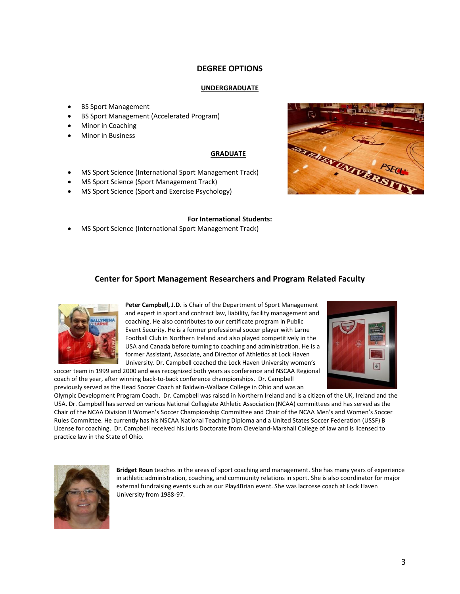## **DEGREE OPTIONS**

### **UNDERGRADUATE**

- BS Sport Management
- BS Sport Management (Accelerated Program)
- Minor in Coaching
- Minor in Business

## **GRADUATE**

- MS Sport Science (International Sport Management Track)
- MS Sport Science (Sport Management Track)
- MS Sport Science (Sport and Exercise Psychology)



#### **For International Students:**

• MS Sport Science (International Sport Management Track)

## **Center for Sport Management Researchers and Program Related Faculty**



Peter Campbell, J.D. is Chair of the Department of Sport Management and expert in sport and contract law, liability, facility management and coaching. He also contributes to our certificate program in Public Event Security. He is a former professional soccer player with Larne Football Club in Northern Ireland and also played competitively in the USA and Canada before turning to coaching and administration. He is a former Assistant, Associate, and Director of Athletics at Lock Haven University. Dr. Campbell coached the Lock Haven University women's

soccer team in 1999 and 2000 and was recognized both years as conference and NSCAA Regional coach of the year, after winning back-to-back conference championships. Dr. Campbell previously served as the Head Soccer Coach at Baldwin-Wallace College in Ohio and was an



Olympic Development Program Coach. Dr. Campbell was raised in Northern Ireland and is a citizen of the UK, Ireland and the USA. Dr. Campbell has served on various National Collegiate Athletic Association (NCAA) committees and has served as the Chair of the NCAA Division II Women's Soccer Championship Committee and Chair of the NCAA Men's and Women's Soccer Rules Committee. He currently has his NSCAA National Teaching Diploma and a United States Soccer Federation (USSF) B License for coaching. Dr. Campbell received his Juris Doctorate from Cleveland-Marshall College of law and is licensed to practice law in the State of Ohio.



**Bridget Roun** teaches in the areas of sport coaching and management. She has many years of experience in athletic administration, coaching, and community relations in sport. She is also coordinator for major external fundraising events such as our Play4Brian event. She was lacrosse coach at Lock Haven University from 1988-97.